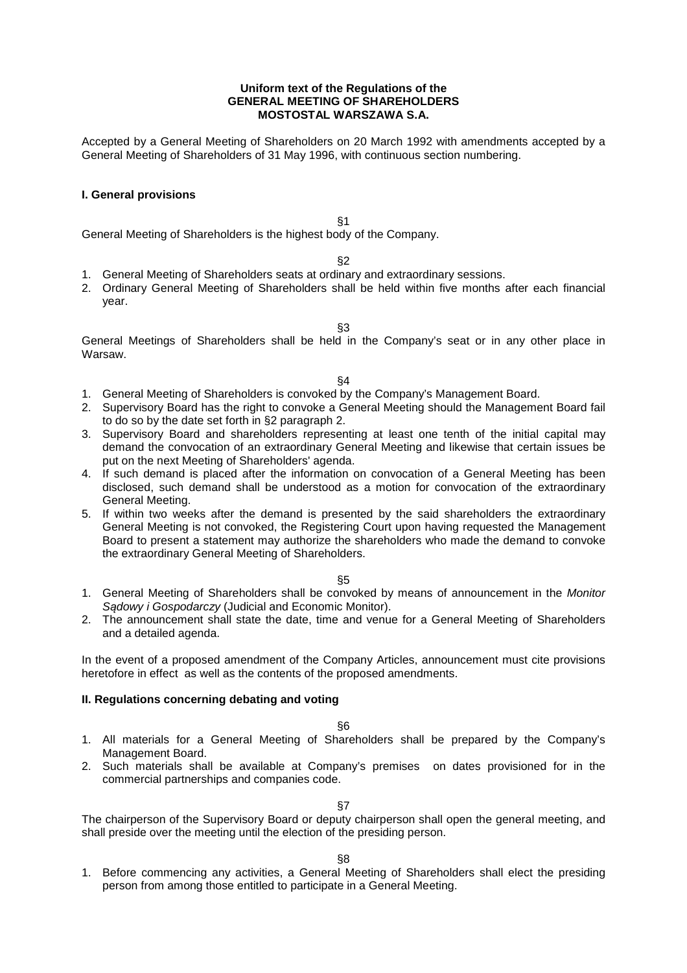### **Uniform text of the Regulations of the GENERAL MEETING OF SHAREHOLDERS MOSTOSTAL WARSZAWA S.A.**

Accepted by a General Meeting of Shareholders on 20 March 1992 with amendments accepted by a General Meeting of Shareholders of 31 May 1996, with continuous section numbering.

# **I. General provisions**

§1

General Meeting of Shareholders is the highest body of the Company.

## §2

- 1. General Meeting of Shareholders seats at ordinary and extraordinary sessions.
- 2. Ordinary General Meeting of Shareholders shall be held within five months after each financial year.
	- §3

General Meetings of Shareholders shall be held in the Company's seat or in any other place in Warsaw.

### §4

- 1. General Meeting of Shareholders is convoked by the Company's Management Board.
- 2. Supervisory Board has the right to convoke a General Meeting should the Management Board fail to do so by the date set forth in §2 paragraph 2.
- 3. Supervisory Board and shareholders representing at least one tenth of the initial capital may demand the convocation of an extraordinary General Meeting and likewise that certain issues be put on the next Meeting of Shareholders' agenda.
- 4. If such demand is placed after the information on convocation of a General Meeting has been disclosed, such demand shall be understood as a motion for convocation of the extraordinary General Meeting.
- 5. If within two weeks after the demand is presented by the said shareholders the extraordinary General Meeting is not convoked, the Registering Court upon having requested the Management Board to present a statement may authorize the shareholders who made the demand to convoke the extraordinary General Meeting of Shareholders.

#### §5

- 1. General Meeting of Shareholders shall be convoked by means of announcement in the Monitor S*ą*dowy i Gospodarczy (Judicial and Economic Monitor).
- 2. The announcement shall state the date, time and venue for a General Meeting of Shareholders and a detailed agenda.

In the event of a proposed amendment of the Company Articles, announcement must cite provisions heretofore in effect as well as the contents of the proposed amendments.

## **II. Regulations concerning debating and voting**

## §6

- 1. All materials for a General Meeting of Shareholders shall be prepared by the Company's Management Board.
- 2. Such materials shall be available at Company's premises on dates provisioned for in the commercial partnerships and companies code.

## §7

The chairperson of the Supervisory Board or deputy chairperson shall open the general meeting, and shall preside over the meeting until the election of the presiding person.

## §8

1. Before commencing any activities, a General Meeting of Shareholders shall elect the presiding person from among those entitled to participate in a General Meeting.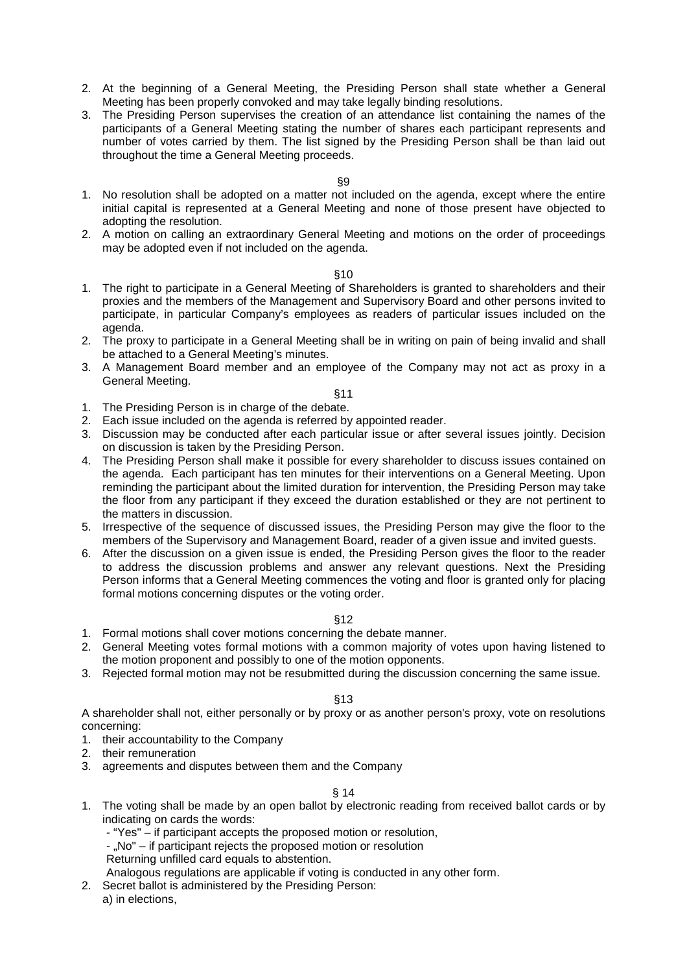- 2. At the beginning of a General Meeting, the Presiding Person shall state whether a General Meeting has been properly convoked and may take legally binding resolutions.
- 3. The Presiding Person supervises the creation of an attendance list containing the names of the participants of a General Meeting stating the number of shares each participant represents and number of votes carried by them. The list signed by the Presiding Person shall be than laid out throughout the time a General Meeting proceeds.

## §9

- 1. No resolution shall be adopted on a matter not included on the agenda, except where the entire initial capital is represented at a General Meeting and none of those present have objected to adopting the resolution.
- 2. A motion on calling an extraordinary General Meeting and motions on the order of proceedings may be adopted even if not included on the agenda.

## §10

- 1. The right to participate in a General Meeting of Shareholders is granted to shareholders and their proxies and the members of the Management and Supervisory Board and other persons invited to participate, in particular Company's employees as readers of particular issues included on the agenda.
- 2. The proxy to participate in a General Meeting shall be in writing on pain of being invalid and shall be attached to a General Meeting's minutes.
- 3. A Management Board member and an employee of the Company may not act as proxy in a General Meeting.

### §11

- 1. The Presiding Person is in charge of the debate.
- 2. Each issue included on the agenda is referred by appointed reader.
- 3. Discussion may be conducted after each particular issue or after several issues jointly. Decision on discussion is taken by the Presiding Person.
- 4. The Presiding Person shall make it possible for every shareholder to discuss issues contained on the agenda. Each participant has ten minutes for their interventions on a General Meeting. Upon reminding the participant about the limited duration for intervention, the Presiding Person may take the floor from any participant if they exceed the duration established or they are not pertinent to the matters in discussion.
- 5. Irrespective of the sequence of discussed issues, the Presiding Person may give the floor to the members of the Supervisory and Management Board, reader of a given issue and invited guests.
- 6. After the discussion on a given issue is ended, the Presiding Person gives the floor to the reader to address the discussion problems and answer any relevant questions. Next the Presiding Person informs that a General Meeting commences the voting and floor is granted only for placing formal motions concerning disputes or the voting order.

## §12

- 1. Formal motions shall cover motions concerning the debate manner.
- 2. General Meeting votes formal motions with a common majority of votes upon having listened to the motion proponent and possibly to one of the motion opponents.
- 3. Rejected formal motion may not be resubmitted during the discussion concerning the same issue.

## §13

A shareholder shall not, either personally or by proxy or as another person's proxy, vote on resolutions concerning:

- 1. their accountability to the Company
- 2. their remuneration
- 3. agreements and disputes between them and the Company

## § 14

- 1. The voting shall be made by an open ballot by electronic reading from received ballot cards or by indicating on cards the words:
	- "Yes" if participant accepts the proposed motion or resolution,
	- "No" if participant rejects the proposed motion or resolution

Returning unfilled card equals to abstention.

Analogous regulations are applicable if voting is conducted in any other form.

- 2. Secret ballot is administered by the Presiding Person:
	- a) in elections,